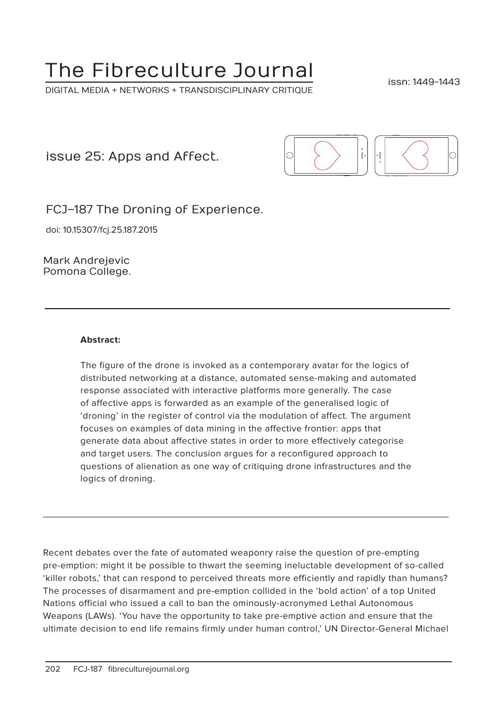# The Fibreculture Journal

DIGITAL MEDIA + NETWORKS + TRANSDISCIPLINARY CRITIQUE

issn: 1449-1443

issue 25: Apps and Affect.



FCJ–187 The Droning of Experience.

doi: 10.15307/fcj.25.187.2015

Mark Andrejevic Pomona College.

#### **Abstract:**

The figure of the drone is invoked as a contemporary avatar for the logics of distributed networking at a distance, automated sense-making and automated response associated with interactive platforms more generally. The case of affective apps is forwarded as an example of the generalised logic of 'droning' in the register of control via the modulation of affect. The argument focuses on examples of data mining in the affective frontier: apps that generate data about affective states in order to more effectively categorise and target users. The conclusion argues for a reconfigured approach to questions of alienation as one way of critiquing drone infrastructures and the logics of droning.

Recent debates over the fate of automated weaponry raise the question of pre-empting pre-emption: might it be possible to thwart the seeming ineluctable development of so-called 'killer robots,' that can respond to perceived threats more efficiently and rapidly than humans? The processes of disarmament and pre-emption collided in the 'bold action' of a top United Nations official who issued a call to ban the ominously-acronymed Lethal Autonomous Weapons (LAWs). 'You have the opportunity to take pre-emptive action and ensure that the ultimate decision to end life remains firmly under human control,' UN Director-General Michael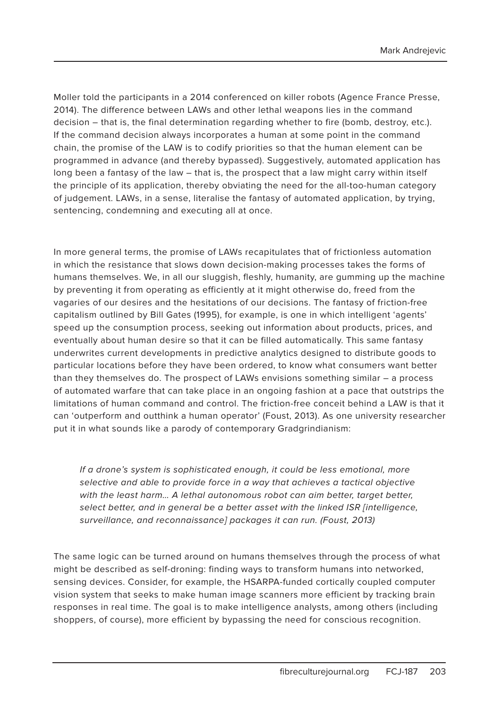Moller told the participants in a 2014 conferenced on killer robots (Agence France Presse, 2014). The difference between LAWs and other lethal weapons lies in the command decision – that is, the final determination regarding whether to fire (bomb, destroy, etc.). If the command decision always incorporates a human at some point in the command chain, the promise of the LAW is to codify priorities so that the human element can be programmed in advance (and thereby bypassed). Suggestively, automated application has long been a fantasy of the law – that is, the prospect that a law might carry within itself the principle of its application, thereby obviating the need for the all-too-human category of judgement. LAWs, in a sense, literalise the fantasy of automated application, by trying, sentencing, condemning and executing all at once.

In more general terms, the promise of LAWs recapitulates that of frictionless automation in which the resistance that slows down decision-making processes takes the forms of humans themselves. We, in all our sluggish, fleshly, humanity, are gumming up the machine by preventing it from operating as efficiently at it might otherwise do, freed from the vagaries of our desires and the hesitations of our decisions. The fantasy of friction-free capitalism outlined by Bill Gates (1995), for example, is one in which intelligent 'agents' speed up the consumption process, seeking out information about products, prices, and eventually about human desire so that it can be filled automatically. This same fantasy underwrites current developments in predictive analytics designed to distribute goods to particular locations before they have been ordered, to know what consumers want better than they themselves do. The prospect of LAWs envisions something similar – a process of automated warfare that can take place in an ongoing fashion at a pace that outstrips the limitations of human command and control. The friction-free conceit behind a LAW is that it can 'outperform and outthink a human operator' (Foust, 2013). As one university researcher put it in what sounds like a parody of contemporary Gradgrindianism:

If a drone's system is sophisticated enough, it could be less emotional, more selective and able to provide force in a way that achieves a tactical objective with the least harm... A lethal autonomous robot can aim better, target better, select better, and in general be a better asset with the linked ISR [intelligence, surveillance, and reconnaissance] packages it can run. (Foust, 2013)

The same logic can be turned around on humans themselves through the process of what might be described as self-droning: finding ways to transform humans into networked, sensing devices. Consider, for example, the HSARPA-funded cortically coupled computer vision system that seeks to make human image scanners more efficient by tracking brain responses in real time. The goal is to make intelligence analysts, among others (including shoppers, of course), more efficient by bypassing the need for conscious recognition.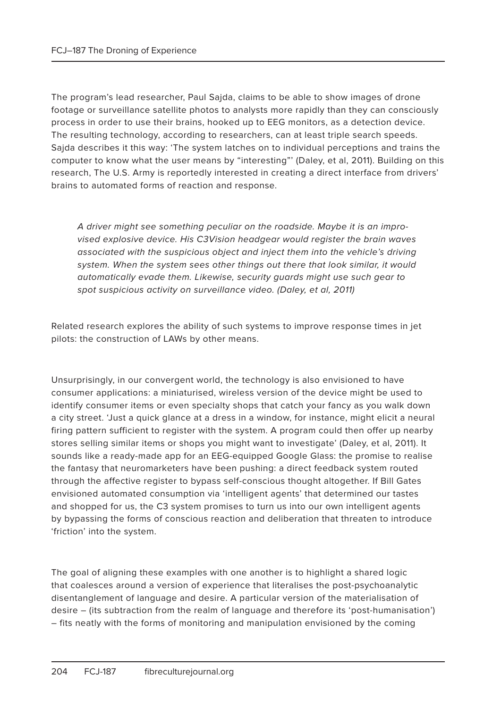The program's lead researcher, Paul Sajda, claims to be able to show images of drone footage or surveillance satellite photos to analysts more rapidly than they can consciously process in order to use their brains, hooked up to EEG monitors, as a detection device. The resulting technology, according to researchers, can at least triple search speeds. Sajda describes it this way: 'The system latches on to individual perceptions and trains the computer to know what the user means by "interesting"' (Daley, et al, 2011). Building on this research, The U.S. Army is reportedly interested in creating a direct interface from drivers' brains to automated forms of reaction and response.

A driver might see something peculiar on the roadside. Maybe it is an improvised explosive device. His C3Vision headgear would register the brain waves associated with the suspicious object and inject them into the vehicle's driving system. When the system sees other things out there that look similar, it would automatically evade them. Likewise, security guards might use such gear to spot suspicious activity on surveillance video. (Daley, et al, 2011)

Related research explores the ability of such systems to improve response times in jet pilots: the construction of LAWs by other means.

Unsurprisingly, in our convergent world, the technology is also envisioned to have consumer applications: a miniaturised, wireless version of the device might be used to identify consumer items or even specialty shops that catch your fancy as you walk down a city street. 'Just a quick glance at a dress in a window, for instance, might elicit a neural firing pattern sufficient to register with the system. A program could then offer up nearby stores selling similar items or shops you might want to investigate' (Daley, et al, 2011). It sounds like a ready-made app for an EEG-equipped Google Glass: the promise to realise the fantasy that neuromarketers have been pushing: a direct feedback system routed through the affective register to bypass self-conscious thought altogether. If Bill Gates envisioned automated consumption via 'intelligent agents' that determined our tastes and shopped for us, the C3 system promises to turn us into our own intelligent agents by bypassing the forms of conscious reaction and deliberation that threaten to introduce 'friction' into the system.

The goal of aligning these examples with one another is to highlight a shared logic that coalesces around a version of experience that literalises the post-psychoanalytic disentanglement of language and desire. A particular version of the materialisation of desire – (its subtraction from the realm of language and therefore its 'post-humanisation') – fits neatly with the forms of monitoring and manipulation envisioned by the coming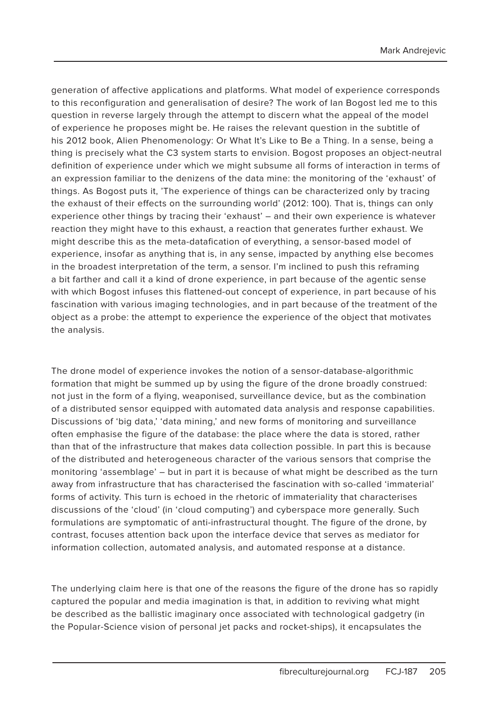generation of affective applications and platforms. What model of experience corresponds to this reconfiguration and generalisation of desire? The work of Ian Bogost led me to this question in reverse largely through the attempt to discern what the appeal of the model of experience he proposes might be. He raises the relevant question in the subtitle of his 2012 book, Alien Phenomenology: Or What It's Like to Be a Thing. In a sense, being a thing is precisely what the C3 system starts to envision. Bogost proposes an object-neutral definition of experience under which we might subsume all forms of interaction in terms of an expression familiar to the denizens of the data mine: the monitoring of the 'exhaust' of things. As Bogost puts it, 'The experience of things can be characterized only by tracing the exhaust of their effects on the surrounding world' (2012: 100). That is, things can only experience other things by tracing their 'exhaust' – and their own experience is whatever reaction they might have to this exhaust, a reaction that generates further exhaust. We might describe this as the meta-datafication of everything, a sensor-based model of experience, insofar as anything that is, in any sense, impacted by anything else becomes in the broadest interpretation of the term, a sensor. I'm inclined to push this reframing a bit farther and call it a kind of drone experience, in part because of the agentic sense with which Bogost infuses this flattened-out concept of experience, in part because of his fascination with various imaging technologies, and in part because of the treatment of the object as a probe: the attempt to experience the experience of the object that motivates the analysis.

The drone model of experience invokes the notion of a sensor-database-algorithmic formation that might be summed up by using the figure of the drone broadly construed: not just in the form of a flying, weaponised, surveillance device, but as the combination of a distributed sensor equipped with automated data analysis and response capabilities. Discussions of 'big data,' 'data mining,' and new forms of monitoring and surveillance often emphasise the figure of the database: the place where the data is stored, rather than that of the infrastructure that makes data collection possible. In part this is because of the distributed and heterogeneous character of the various sensors that comprise the monitoring 'assemblage' – but in part it is because of what might be described as the turn away from infrastructure that has characterised the fascination with so-called 'immaterial' forms of activity. This turn is echoed in the rhetoric of immateriality that characterises discussions of the 'cloud' (in 'cloud computing') and cyberspace more generally. Such formulations are symptomatic of anti-infrastructural thought. The figure of the drone, by contrast, focuses attention back upon the interface device that serves as mediator for information collection, automated analysis, and automated response at a distance.

The underlying claim here is that one of the reasons the figure of the drone has so rapidly captured the popular and media imagination is that, in addition to reviving what might be described as the ballistic imaginary once associated with technological gadgetry (in the Popular-Science vision of personal jet packs and rocket-ships), it encapsulates the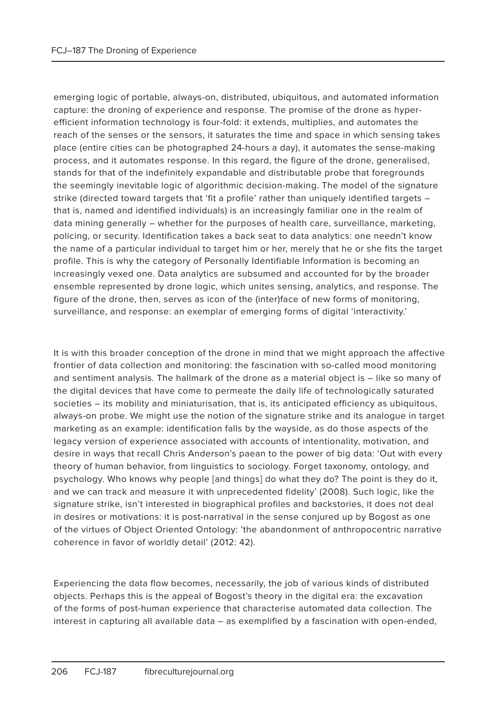emerging logic of portable, always-on, distributed, ubiquitous, and automated information capture: the droning of experience and response. The promise of the drone as hyperefficient information technology is four-fold: it extends, multiplies, and automates the reach of the senses or the sensors, it saturates the time and space in which sensing takes place (entire cities can be photographed 24-hours a day), it automates the sense-making process, and it automates response. In this regard, the figure of the drone, generalised, stands for that of the indefinitely expandable and distributable probe that foregrounds the seemingly inevitable logic of algorithmic decision-making. The model of the signature strike (directed toward targets that 'fit a profile' rather than uniquely identified targets – that is, named and identified individuals) is an increasingly familiar one in the realm of data mining generally – whether for the purposes of health care, surveillance, marketing, policing, or security. Identification takes a back seat to data analytics: one needn't know the name of a particular individual to target him or her, merely that he or she fits the target profile. This is why the category of Personally Identifiable Information is becoming an increasingly vexed one. Data analytics are subsumed and accounted for by the broader ensemble represented by drone logic, which unites sensing, analytics, and response. The figure of the drone, then, serves as icon of the (inter)face of new forms of monitoring, surveillance, and response: an exemplar of emerging forms of digital 'interactivity.'

It is with this broader conception of the drone in mind that we might approach the affective frontier of data collection and monitoring: the fascination with so-called mood monitoring and sentiment analysis. The hallmark of the drone as a material object is – like so many of the digital devices that have come to permeate the daily life of technologically saturated societies – its mobility and miniaturisation, that is, its anticipated efficiency as ubiquitous, always-on probe. We might use the notion of the signature strike and its analogue in target marketing as an example: identification falls by the wayside, as do those aspects of the legacy version of experience associated with accounts of intentionality, motivation, and desire in ways that recall Chris Anderson's paean to the power of big data: 'Out with every theory of human behavior, from linguistics to sociology. Forget taxonomy, ontology, and psychology. Who knows why people [and things] do what they do? The point is they do it, and we can track and measure it with unprecedented fidelity' (2008). Such logic, like the signature strike, isn't interested in biographical profiles and backstories, it does not deal in desires or motivations: it is post-narratival in the sense conjured up by Bogost as one of the virtues of Object Oriented Ontology: 'the abandonment of anthropocentric narrative coherence in favor of worldly detail' (2012: 42).

Experiencing the data flow becomes, necessarily, the job of various kinds of distributed objects. Perhaps this is the appeal of Bogost's theory in the digital era: the excavation of the forms of post-human experience that characterise automated data collection. The interest in capturing all available data – as exemplified by a fascination with open-ended,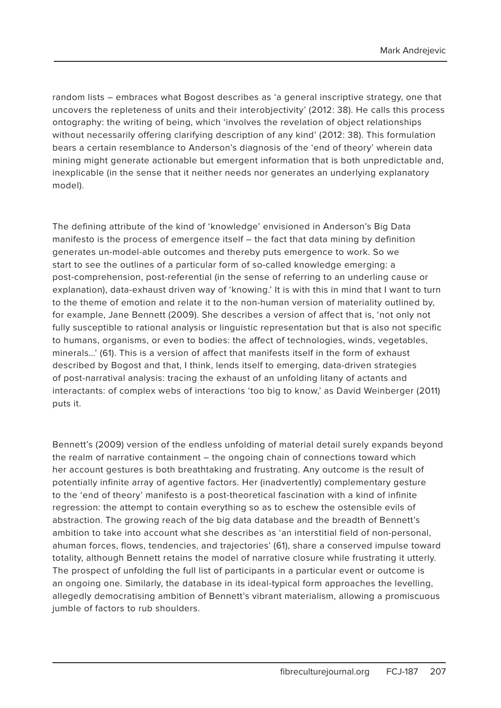random lists – embraces what Bogost describes as 'a general inscriptive strategy, one that uncovers the repleteness of units and their interobjectivity' (2012: 38). He calls this process ontography: the writing of being, which 'involves the revelation of object relationships without necessarily offering clarifying description of any kind' (2012: 38). This formulation bears a certain resemblance to Anderson's diagnosis of the 'end of theory' wherein data mining might generate actionable but emergent information that is both unpredictable and, inexplicable (in the sense that it neither needs nor generates an underlying explanatory model).

The defining attribute of the kind of 'knowledge' envisioned in Anderson's Big Data manifesto is the process of emergence itself – the fact that data mining by definition generates un-model-able outcomes and thereby puts emergence to work. So we start to see the outlines of a particular form of so-called knowledge emerging: a post-comprehension, post-referential (in the sense of referring to an underling cause or explanation), data-exhaust driven way of 'knowing.' It is with this in mind that I want to turn to the theme of emotion and relate it to the non-human version of materiality outlined by, for example, Jane Bennett (2009). She describes a version of affect that is, 'not only not fully susceptible to rational analysis or linguistic representation but that is also not specific to humans, organisms, or even to bodies: the affect of technologies, winds, vegetables, minerals…' (61). This is a version of affect that manifests itself in the form of exhaust described by Bogost and that, I think, lends itself to emerging, data-driven strategies of post-narratival analysis: tracing the exhaust of an unfolding litany of actants and interactants: of complex webs of interactions 'too big to know,' as David Weinberger (2011) puts it.

Bennett's (2009) version of the endless unfolding of material detail surely expands beyond the realm of narrative containment – the ongoing chain of connections toward which her account gestures is both breathtaking and frustrating. Any outcome is the result of potentially infinite array of agentive factors. Her (inadvertently) complementary gesture to the 'end of theory' manifesto is a post-theoretical fascination with a kind of infinite regression: the attempt to contain everything so as to eschew the ostensible evils of abstraction. The growing reach of the big data database and the breadth of Bennett's ambition to take into account what she describes as 'an interstitial field of non-personal, ahuman forces, flows, tendencies, and trajectories' (61), share a conserved impulse toward totality, although Bennett retains the model of narrative closure while frustrating it utterly. The prospect of unfolding the full list of participants in a particular event or outcome is an ongoing one. Similarly, the database in its ideal-typical form approaches the levelling, allegedly democratising ambition of Bennett's vibrant materialism, allowing a promiscuous jumble of factors to rub shoulders.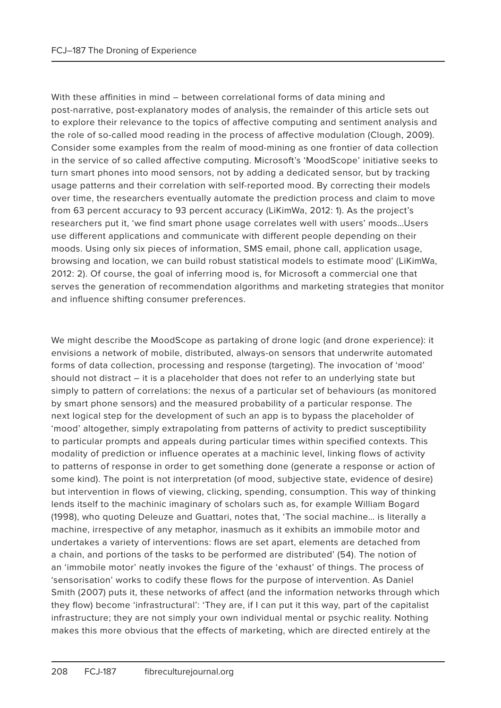With these affinities in mind – between correlational forms of data mining and post-narrative, post-explanatory modes of analysis, the remainder of this article sets out to explore their relevance to the topics of affective computing and sentiment analysis and the role of so-called mood reading in the process of affective modulation (Clough, 2009). Consider some examples from the realm of mood-mining as one frontier of data collection in the service of so called affective computing. Microsoft's 'MoodScope' initiative seeks to turn smart phones into mood sensors, not by adding a dedicated sensor, but by tracking usage patterns and their correlation with self-reported mood. By correcting their models over time, the researchers eventually automate the prediction process and claim to move from 63 percent accuracy to 93 percent accuracy (LiKimWa, 2012: 1). As the project's researchers put it, 'we find smart phone usage correlates well with users' moods…Users use different applications and communicate with different people depending on their moods. Using only six pieces of information, SMS email, phone call, application usage, browsing and location, we can build robust statistical models to estimate mood' (LiKimWa, 2012: 2). Of course, the goal of inferring mood is, for Microsoft a commercial one that serves the generation of recommendation algorithms and marketing strategies that monitor and influence shifting consumer preferences.

We might describe the MoodScope as partaking of drone logic (and drone experience): it envisions a network of mobile, distributed, always-on sensors that underwrite automated forms of data collection, processing and response (targeting). The invocation of 'mood' should not distract – it is a placeholder that does not refer to an underlying state but simply to pattern of correlations: the nexus of a particular set of behaviours (as monitored by smart phone sensors) and the measured probability of a particular response. The next logical step for the development of such an app is to bypass the placeholder of 'mood' altogether, simply extrapolating from patterns of activity to predict susceptibility to particular prompts and appeals during particular times within specified contexts. This modality of prediction or influence operates at a machinic level, linking flows of activity to patterns of response in order to get something done (generate a response or action of some kind). The point is not interpretation (of mood, subjective state, evidence of desire) but intervention in flows of viewing, clicking, spending, consumption. This way of thinking lends itself to the machinic imaginary of scholars such as, for example William Bogard (1998), who quoting Deleuze and Guattari, notes that, 'The social machine… is literally a machine, irrespective of any metaphor, inasmuch as it exhibits an immobile motor and undertakes a variety of interventions: flows are set apart, elements are detached from a chain, and portions of the tasks to be performed are distributed' (54). The notion of an 'immobile motor' neatly invokes the figure of the 'exhaust' of things. The process of 'sensorisation' works to codify these flows for the purpose of intervention. As Daniel Smith (2007) puts it, these networks of affect (and the information networks through which they flow) become 'infrastructural': 'They are, if I can put it this way, part of the capitalist infrastructure; they are not simply your own individual mental or psychic reality. Nothing makes this more obvious that the effects of marketing, which are directed entirely at the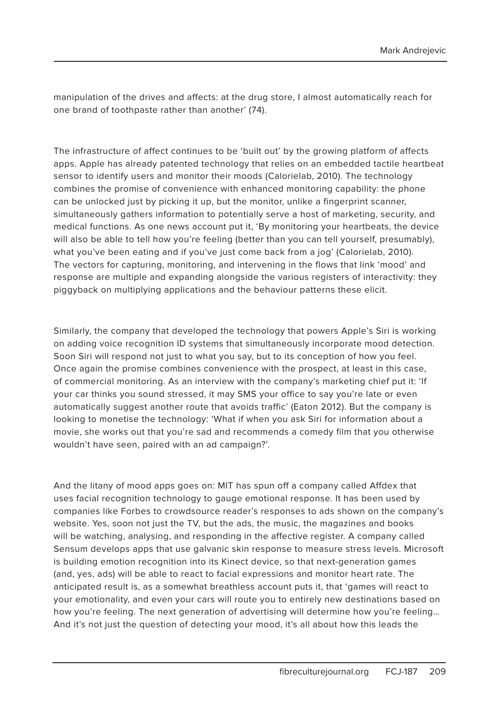manipulation of the drives and affects: at the drug store, I almost automatically reach for one brand of toothpaste rather than another' (74).

The infrastructure of affect continues to be 'built out' by the growing platform of affects apps. Apple has already patented technology that relies on an embedded tactile heartbeat sensor to identify users and monitor their moods (Calorielab, 2010). The technology combines the promise of convenience with enhanced monitoring capability: the phone can be unlocked just by picking it up, but the monitor, unlike a fingerprint scanner, simultaneously gathers information to potentially serve a host of marketing, security, and medical functions. As one news account put it, 'By monitoring your heartbeats, the device will also be able to tell how you're feeling (better than you can tell yourself, presumably), what you've been eating and if you've just come back from a jog' (Calorielab, 2010). The vectors for capturing, monitoring, and intervening in the flows that link 'mood' and response are multiple and expanding alongside the various registers of interactivity: they piggyback on multiplying applications and the behaviour patterns these elicit.

Similarly, the company that developed the technology that powers Apple's Siri is working on adding voice recognition ID systems that simultaneously incorporate mood detection. Soon Siri will respond not just to what you say, but to its conception of how you feel. Once again the promise combines convenience with the prospect, at least in this case, of commercial monitoring. As an interview with the company's marketing chief put it: 'If your car thinks you sound stressed, it may SMS your office to say you're late or even automatically suggest another route that avoids traffic' (Eaton 2012). But the company is looking to monetise the technology: 'What if when you ask Siri for information about a movie, she works out that you're sad and recommends a comedy film that you otherwise wouldn't have seen, paired with an ad campaign?'.

And the litany of mood apps goes on: MIT has spun off a company called Affdex that uses facial recognition technology to gauge emotional response. It has been used by companies like Forbes to crowdsource reader's responses to ads shown on the company's website. Yes, soon not just the TV, but the ads, the music, the magazines and books will be watching, analysing, and responding in the affective register. A company called Sensum develops apps that use galvanic skin response to measure stress levels. Microsoft is building emotion recognition into its Kinect device, so that next-generation games (and, yes, ads) will be able to react to facial expressions and monitor heart rate. The anticipated result is, as a somewhat breathless account puts it, that 'games will react to your emotionality, and even your cars will route you to entirely new destinations based on how you're feeling. The next generation of advertising will determine how you're feeling… And it's not just the question of detecting your mood, it's all about how this leads the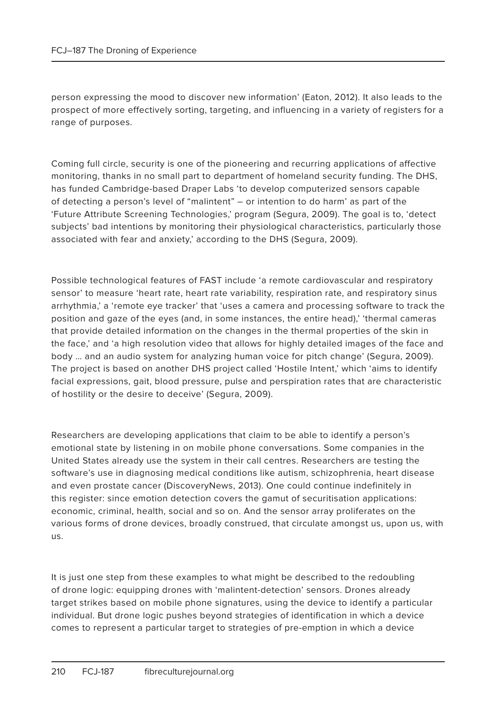person expressing the mood to discover new information' (Eaton, 2012). It also leads to the prospect of more effectively sorting, targeting, and influencing in a variety of registers for a range of purposes.

Coming full circle, security is one of the pioneering and recurring applications of affective monitoring, thanks in no small part to department of homeland security funding. The DHS, has funded Cambridge-based Draper Labs 'to develop computerized sensors capable of detecting a person's level of "malintent" – or intention to do harm' as part of the 'Future Attribute Screening Technologies,' program (Segura, 2009). The goal is to, 'detect subjects' bad intentions by monitoring their physiological characteristics, particularly those associated with fear and anxiety,' according to the DHS (Segura, 2009).

Possible technological features of FAST include 'a remote cardiovascular and respiratory sensor' to measure 'heart rate, heart rate variability, respiration rate, and respiratory sinus arrhythmia,' a 'remote eye tracker' that 'uses a camera and processing software to track the position and gaze of the eyes (and, in some instances, the entire head),' 'thermal cameras that provide detailed information on the changes in the thermal properties of the skin in the face,' and 'a high resolution video that allows for highly detailed images of the face and body … and an audio system for analyzing human voice for pitch change' (Segura, 2009). The project is based on another DHS project called 'Hostile Intent,' which 'aims to identify facial expressions, gait, blood pressure, pulse and perspiration rates that are characteristic of hostility or the desire to deceive' (Segura, 2009).

Researchers are developing applications that claim to be able to identify a person's emotional state by listening in on mobile phone conversations. Some companies in the United States already use the system in their call centres. Researchers are testing the software's use in diagnosing medical conditions like autism, schizophrenia, heart disease and even prostate cancer (DiscoveryNews, 2013). One could continue indefinitely in this register: since emotion detection covers the gamut of securitisation applications: economic, criminal, health, social and so on. And the sensor array proliferates on the various forms of drone devices, broadly construed, that circulate amongst us, upon us, with us.

It is just one step from these examples to what might be described to the redoubling of drone logic: equipping drones with 'malintent-detection' sensors. Drones already target strikes based on mobile phone signatures, using the device to identify a particular individual. But drone logic pushes beyond strategies of identification in which a device comes to represent a particular target to strategies of pre-emption in which a device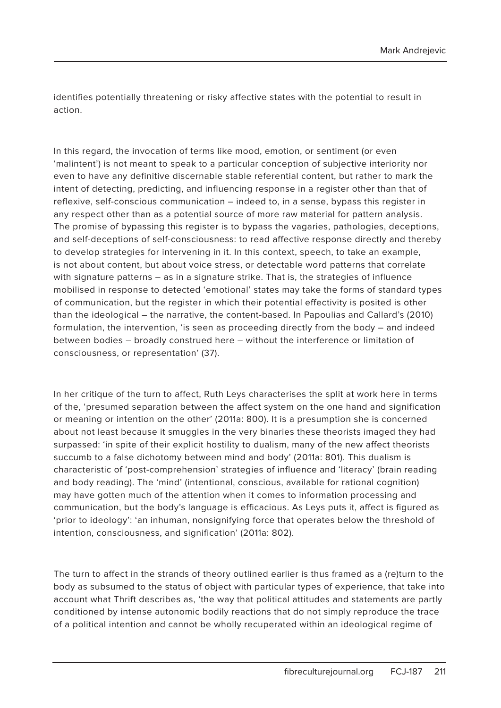identifies potentially threatening or risky affective states with the potential to result in action.

In this regard, the invocation of terms like mood, emotion, or sentiment (or even 'malintent') is not meant to speak to a particular conception of subjective interiority nor even to have any definitive discernable stable referential content, but rather to mark the intent of detecting, predicting, and influencing response in a register other than that of reflexive, self-conscious communication – indeed to, in a sense, bypass this register in any respect other than as a potential source of more raw material for pattern analysis. The promise of bypassing this register is to bypass the vagaries, pathologies, deceptions, and self-deceptions of self-consciousness: to read affective response directly and thereby to develop strategies for intervening in it. In this context, speech, to take an example, is not about content, but about voice stress, or detectable word patterns that correlate with signature patterns – as in a signature strike. That is, the strategies of influence mobilised in response to detected 'emotional' states may take the forms of standard types of communication, but the register in which their potential effectivity is posited is other than the ideological – the narrative, the content-based. In Papoulias and Callard's (2010) formulation, the intervention, 'is seen as proceeding directly from the body – and indeed between bodies – broadly construed here – without the interference or limitation of consciousness, or representation' (37).

In her critique of the turn to affect, Ruth Leys characterises the split at work here in terms of the, 'presumed separation between the affect system on the one hand and signification or meaning or intention on the other' (2011a: 800). It is a presumption she is concerned about not least because it smuggles in the very binaries these theorists imaged they had surpassed: 'in spite of their explicit hostility to dualism, many of the new affect theorists succumb to a false dichotomy between mind and body' (2011a: 801). This dualism is characteristic of 'post-comprehension' strategies of influence and 'literacy' (brain reading and body reading). The 'mind' (intentional, conscious, available for rational cognition) may have gotten much of the attention when it comes to information processing and communication, but the body's language is efficacious. As Leys puts it, affect is figured as 'prior to ideology': 'an inhuman, nonsignifying force that operates below the threshold of intention, consciousness, and signification' (2011a: 802).

The turn to affect in the strands of theory outlined earlier is thus framed as a (re)turn to the body as subsumed to the status of object with particular types of experience, that take into account what Thrift describes as, 'the way that political attitudes and statements are partly conditioned by intense autonomic bodily reactions that do not simply reproduce the trace of a political intention and cannot be wholly recuperated within an ideological regime of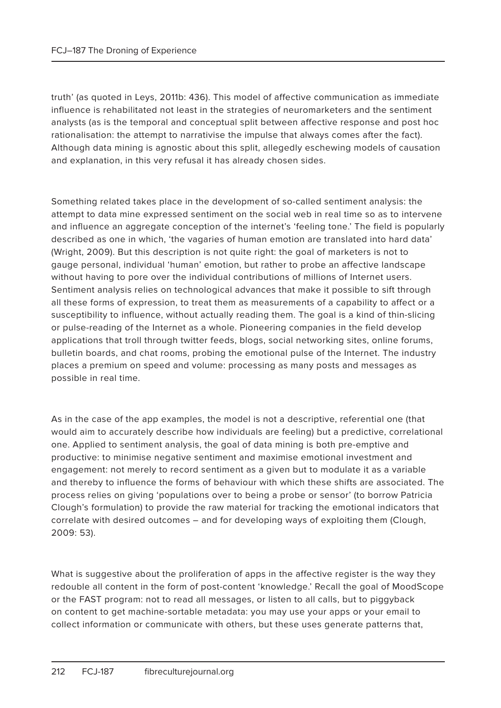truth' (as quoted in Leys, 2011b: 436). This model of affective communication as immediate influence is rehabilitated not least in the strategies of neuromarketers and the sentiment analysts (as is the temporal and conceptual split between affective response and post hoc rationalisation: the attempt to narrativise the impulse that always comes after the fact). Although data mining is agnostic about this split, allegedly eschewing models of causation and explanation, in this very refusal it has already chosen sides.

Something related takes place in the development of so-called sentiment analysis: the attempt to data mine expressed sentiment on the social web in real time so as to intervene and influence an aggregate conception of the internet's 'feeling tone.' The field is popularly described as one in which, 'the vagaries of human emotion are translated into hard data' (Wright, 2009). But this description is not quite right: the goal of marketers is not to gauge personal, individual 'human' emotion, but rather to probe an affective landscape without having to pore over the individual contributions of millions of Internet users. Sentiment analysis relies on technological advances that make it possible to sift through all these forms of expression, to treat them as measurements of a capability to affect or a susceptibility to influence, without actually reading them. The goal is a kind of thin-slicing or pulse-reading of the Internet as a whole. Pioneering companies in the field develop applications that troll through twitter feeds, blogs, social networking sites, online forums, bulletin boards, and chat rooms, probing the emotional pulse of the Internet. The industry places a premium on speed and volume: processing as many posts and messages as possible in real time.

As in the case of the app examples, the model is not a descriptive, referential one (that would aim to accurately describe how individuals are feeling) but a predictive, correlational one. Applied to sentiment analysis, the goal of data mining is both pre-emptive and productive: to minimise negative sentiment and maximise emotional investment and engagement: not merely to record sentiment as a given but to modulate it as a variable and thereby to influence the forms of behaviour with which these shifts are associated. The process relies on giving 'populations over to being a probe or sensor' (to borrow Patricia Clough's formulation) to provide the raw material for tracking the emotional indicators that correlate with desired outcomes – and for developing ways of exploiting them (Clough, 2009: 53).

What is suggestive about the proliferation of apps in the affective register is the way they redouble all content in the form of post-content 'knowledge.' Recall the goal of MoodScope or the FAST program: not to read all messages, or listen to all calls, but to piggyback on content to get machine-sortable metadata: you may use your apps or your email to collect information or communicate with others, but these uses generate patterns that,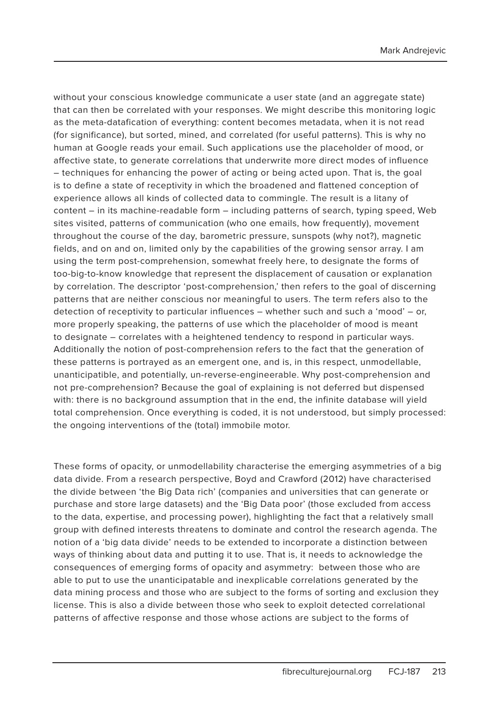without your conscious knowledge communicate a user state (and an aggregate state) that can then be correlated with your responses. We might describe this monitoring logic as the meta-datafication of everything: content becomes metadata, when it is not read (for significance), but sorted, mined, and correlated (for useful patterns). This is why no human at Google reads your email. Such applications use the placeholder of mood, or affective state, to generate correlations that underwrite more direct modes of influence – techniques for enhancing the power of acting or being acted upon. That is, the goal is to define a state of receptivity in which the broadened and flattened conception of experience allows all kinds of collected data to commingle. The result is a litany of content – in its machine-readable form – including patterns of search, typing speed, Web sites visited, patterns of communication (who one emails, how frequently), movement throughout the course of the day, barometric pressure, sunspots (why not?), magnetic fields, and on and on, limited only by the capabilities of the growing sensor array. I am using the term post-comprehension, somewhat freely here, to designate the forms of too-big-to-know knowledge that represent the displacement of causation or explanation by correlation. The descriptor 'post-comprehension,' then refers to the goal of discerning patterns that are neither conscious nor meaningful to users. The term refers also to the detection of receptivity to particular influences – whether such and such a 'mood' – or, more properly speaking, the patterns of use which the placeholder of mood is meant to designate – correlates with a heightened tendency to respond in particular ways. Additionally the notion of post-comprehension refers to the fact that the generation of these patterns is portrayed as an emergent one, and is, in this respect, unmodellable, unanticipatible, and potentially, un-reverse-engineerable. Why post-comprehension and not pre-comprehension? Because the goal of explaining is not deferred but dispensed with: there is no background assumption that in the end, the infinite database will yield total comprehension. Once everything is coded, it is not understood, but simply processed: the ongoing interventions of the (total) immobile motor.

These forms of opacity, or unmodellability characterise the emerging asymmetries of a big data divide. From a research perspective, Boyd and Crawford (2012) have characterised the divide between 'the Big Data rich' (companies and universities that can generate or purchase and store large datasets) and the 'Big Data poor' (those excluded from access to the data, expertise, and processing power), highlighting the fact that a relatively small group with defined interests threatens to dominate and control the research agenda. The notion of a 'big data divide' needs to be extended to incorporate a distinction between ways of thinking about data and putting it to use. That is, it needs to acknowledge the consequences of emerging forms of opacity and asymmetry: between those who are able to put to use the unanticipatable and inexplicable correlations generated by the data mining process and those who are subject to the forms of sorting and exclusion they license. This is also a divide between those who seek to exploit detected correlational patterns of affective response and those whose actions are subject to the forms of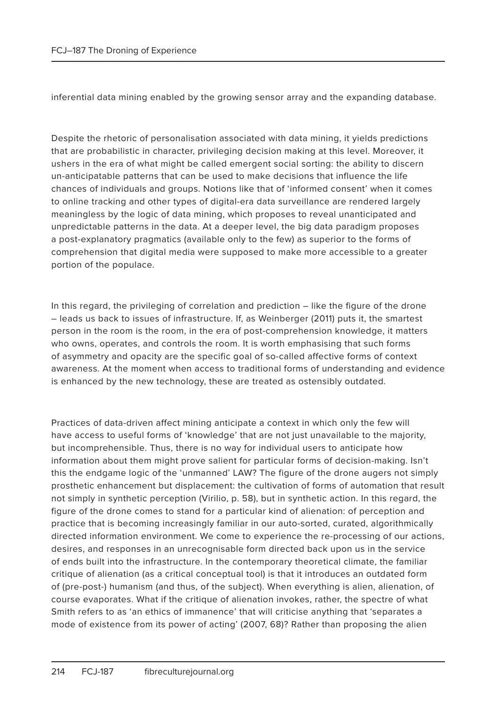inferential data mining enabled by the growing sensor array and the expanding database.

Despite the rhetoric of personalisation associated with data mining, it yields predictions that are probabilistic in character, privileging decision making at this level. Moreover, it ushers in the era of what might be called emergent social sorting: the ability to discern un-anticipatable patterns that can be used to make decisions that influence the life chances of individuals and groups. Notions like that of 'informed consent' when it comes to online tracking and other types of digital-era data surveillance are rendered largely meaningless by the logic of data mining, which proposes to reveal unanticipated and unpredictable patterns in the data. At a deeper level, the big data paradigm proposes a post-explanatory pragmatics (available only to the few) as superior to the forms of comprehension that digital media were supposed to make more accessible to a greater portion of the populace.

In this regard, the privileging of correlation and prediction – like the figure of the drone – leads us back to issues of infrastructure. If, as Weinberger (2011) puts it, the smartest person in the room is the room, in the era of post-comprehension knowledge, it matters who owns, operates, and controls the room. It is worth emphasising that such forms of asymmetry and opacity are the specific goal of so-called affective forms of context awareness. At the moment when access to traditional forms of understanding and evidence is enhanced by the new technology, these are treated as ostensibly outdated.

Practices of data-driven affect mining anticipate a context in which only the few will have access to useful forms of 'knowledge' that are not just unavailable to the majority, but incomprehensible. Thus, there is no way for individual users to anticipate how information about them might prove salient for particular forms of decision-making. Isn't this the endgame logic of the 'unmanned' LAW? The figure of the drone augers not simply prosthetic enhancement but displacement: the cultivation of forms of automation that result not simply in synthetic perception (Virilio, p. 58), but in synthetic action. In this regard, the figure of the drone comes to stand for a particular kind of alienation: of perception and practice that is becoming increasingly familiar in our auto-sorted, curated, algorithmically directed information environment. We come to experience the re-processing of our actions, desires, and responses in an unrecognisable form directed back upon us in the service of ends built into the infrastructure. In the contemporary theoretical climate, the familiar critique of alienation (as a critical conceptual tool) is that it introduces an outdated form of (pre-post-) humanism (and thus, of the subject). When everything is alien, alienation, of course evaporates. What if the critique of alienation invokes, rather, the spectre of what Smith refers to as 'an ethics of immanence' that will criticise anything that 'separates a mode of existence from its power of acting' (2007, 68)? Rather than proposing the alien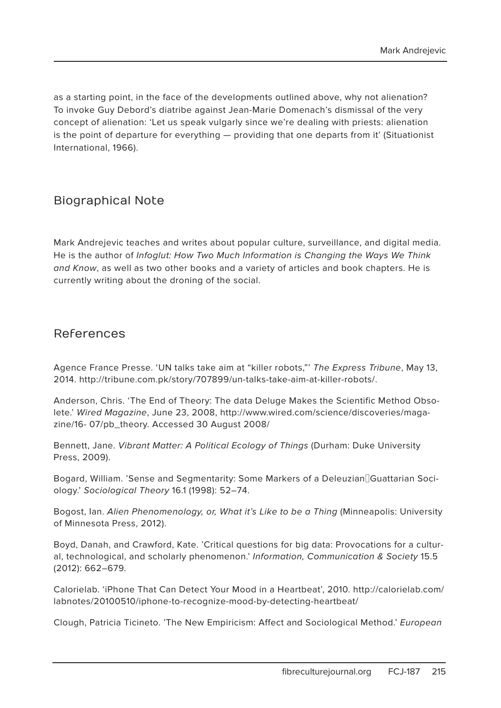as a starting point, in the face of the developments outlined above, why not alienation? To invoke Guy Debord's diatribe against Jean-Marie Domenach's dismissal of the very concept of alienation: 'Let us speak vulgarly since we're dealing with priests: alienation is the point of departure for everything — providing that one departs from it' (Situationist International, 1966).

### Biographical Note

Mark Andrejevic teaches and writes about popular culture, surveillance, and digital media. He is the author of Infoglut: How Two Much Information is Changing the Ways We Think and Know, as well as two other books and a variety of articles and book chapters. He is currently writing about the droning of the social.

#### References

Agence France Presse. 'UN talks take aim at "killer robots," The Express Tribune, May 13, 2014. http://tribune.com.pk/story/707899/un-talks-take-aim-at-killer-robots/.

Anderson, Chris. 'The End of Theory: The data Deluge Makes the Scientific Method Obsolete.' Wired Magazine, June 23, 2008, http://www.wired.com/science/discoveries/magazine/16- 07/pb\_theory. Accessed 30 August 2008/

Bennett, Jane. Vibrant Matter: A Political Ecology of Things (Durham: Duke University Press, 2009).

Bogard, William. 'Sense and Segmentarity: Some Markers of a Deleuzian‐Guattarian Sociology.' Sociological Theory 16.1 (1998): 52–74.

Bogost, Ian. Alien Phenomenology, or, What it's Like to be a Thing (Minneapolis: University of Minnesota Press, 2012).

Boyd, Danah, and Crawford, Kate. 'Critical questions for big data: Provocations for a cultural, technological, and scholarly phenomenon.' Information, Communication & Society 15.5 (2012): 662–679.

Calorielab. 'iPhone That Can Detect Your Mood in a Heartbeat', 2010. http://calorielab.com/ labnotes/20100510/iphone-to-recognize-mood-by-detecting-heartbeat/

Clough, Patricia Ticineto. 'The New Empiricism: Affect and Sociological Method.' European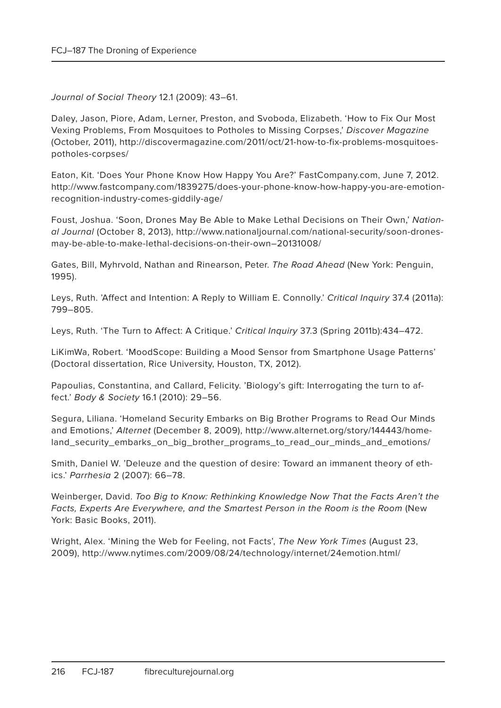Journal of Social Theory 12.1 (2009): 43–61.

Daley, Jason, Piore, Adam, Lerner, Preston, and Svoboda, Elizabeth. 'How to Fix Our Most Vexing Problems, From Mosquitoes to Potholes to Missing Corpses,' Discover Magazine (October, 2011), http://discovermagazine.com/2011/oct/21-how-to-fix-problems-mosquitoespotholes-corpses/

Eaton, Kit. 'Does Your Phone Know How Happy You Are?' FastCompany.com, June 7, 2012. http://www.fastcompany.com/1839275/does-your-phone-know-how-happy-you-are-emotionrecognition-industry-comes-giddily-age/

Foust, Joshua. 'Soon, Drones May Be Able to Make Lethal Decisions on Their Own,' National Journal (October 8, 2013), http://www.nationaljournal.com/national-security/soon-dronesmay-be-able-to-make-lethal-decisions-on-their-own–20131008/

Gates, Bill, Myhrvold, Nathan and Rinearson, Peter. The Road Ahead (New York: Penguin, 1995).

Leys, Ruth. 'Affect and Intention: A Reply to William E. Connolly.' Critical Inquiry 37.4 (2011a): 799–805.

Leys, Ruth. 'The Turn to Affect: A Critique.' Critical Inquiry 37.3 (Spring 2011b):434–472.

LiKimWa, Robert. 'MoodScope: Building a Mood Sensor from Smartphone Usage Patterns' (Doctoral dissertation, Rice University, Houston, TX, 2012).

Papoulias, Constantina, and Callard, Felicity. 'Biology's gift: Interrogating the turn to affect.' Body & Society 16.1 (2010): 29–56.

Segura, Liliana. 'Homeland Security Embarks on Big Brother Programs to Read Our Minds and Emotions,' Alternet (December 8, 2009), http://www.alternet.org/story/144443/homeland\_security\_embarks\_on\_big\_brother\_programs\_to\_read\_our\_minds\_and\_emotions/

Smith, Daniel W. 'Deleuze and the question of desire: Toward an immanent theory of ethics.' Parrhesia 2 (2007): 66–78.

Weinberger, David. Too Big to Know: Rethinking Knowledge Now That the Facts Aren't the Facts, Experts Are Everywhere, and the Smartest Person in the Room is the Room (New York: Basic Books, 2011).

Wright, Alex. 'Mining the Web for Feeling, not Facts', The New York Times (August 23, 2009), http://www.nytimes.com/2009/08/24/technology/internet/24emotion.html/